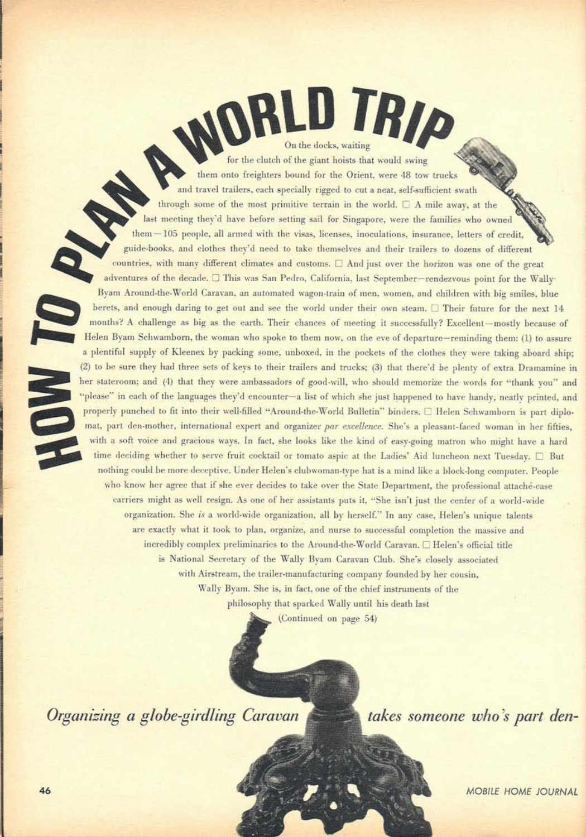TRID On the docks, waiting for the clutch of the giant hoists that would swing them onto freighters bound for the Orient, were 48 tow trucks and travel trailers, each specially rigged to cut a neat, self-sufficient swath through some of the most primitive terrain in the world.  $\Box$  A mile away, at the last meeting they'd have before setting sail for Singapore, were the families who owned them - 105 people, all armed with the visas, licenses, inoculations, insurance, letters of credit, guide-books, and clothes they'd need to take themselves and their trailers to dozens of different countries, with many different climates and customs.  $\Box$  And just over the horizon was one of the great adventures of the decade. □ This was San Pedro, California, last September-rendezvous point for the Wally-Byam Around-the-World Caravan, an automated wagon-train of men, women, and children with big smiles, blue berets, and enough daring to get out and see the world under their own steam.  $\Box$  Their future for the next 14 months? A challenge as big as the earth. Their chances of meeting it successfully? Excellent-mostly because of Helen Byam Schwamborn, the woman who spoke to them now, on the eve of departure-reminding them: (1) to assure a plentiful supply of Kleenex by packing some, unboxed, in the pockets of the clothes they were taking aboard ship; (2) to be sure they had three sets of keys to their trailers and trucks; (3) that there'd be plenty of extra Dramamine in her stateroom; and (4) that they were ambassadors of good-will, who should memorize the words for "thank you" and "please" in each of the languages they'd encounter-a list of which she just happened to have handy, neatly printed, and properly punched to fit into their well-filled "Around-the-World Bulletin" binders.  $\square$  Helen Schwamborn is part diplomat, part den-mother, international expert and organizer par excellence. She's a pleasant-faced woman in her fifties. with a soft voice and gracious ways. In fact, she looks like the kind of easy-going matron who might have a hard time deciding whether to serve fruit cocktail or tomato aspic at the Ladies' Aid luncheon next Tuesday. □ But nothing could be more deceptive. Under Helen's clubwoman-type hat is a mind like a block-long computer. People who know her agree that if she ever decides to take over the State Department, the professional attaché-case carriers might as well resign. As one of her assistants puts it, "She isn't just the center of a world-wide organization. She is a world-wide organization, all by herself." In any case, Helen's unique talents are exactly what it took to plan, organize, and nurse to successful completion the massive and incredibly complex preliminaries to the Around-the-World Caravan. [ Helen's official title is National Secretary of the Wally Byam Caravan Club. She's closely associated with Airstream, the trailer-manufacturing company founded by her cousin, Wally Byam. She is, in fact, one of the chief instruments of the philosophy that sparked Wally until his death last

(Continued on page 54)

Organizing a globe-girdling Caravan

takes someone who's part den-

**MOBILE HOME JOURNAL**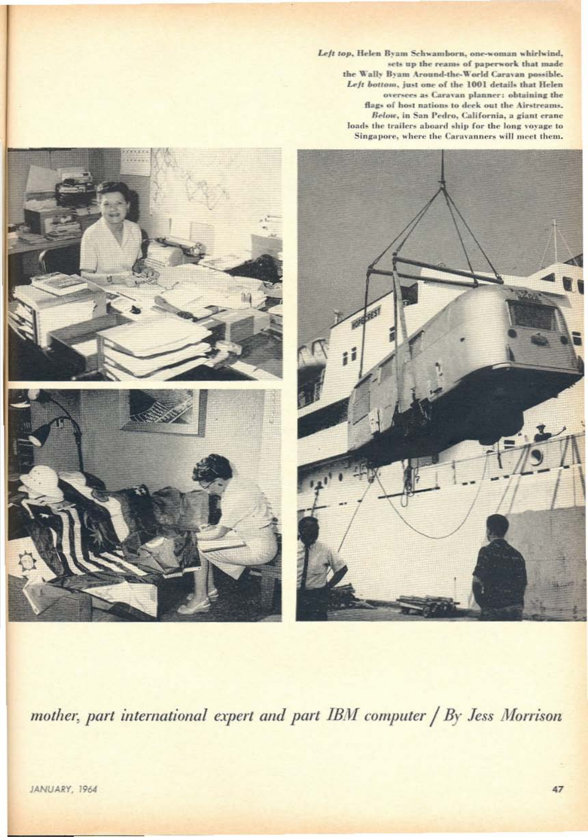Left top, Helen Byam Schwamborn, one-woman whirlwind, sets up the reams of paperwork that made the Wally Byam Around-the-World Caravan possible. Left bottom, just one of the 1001 details that Helen oversees as Caravan planner: obtaining the<br>flags of host nations to deek out the Airstreams. Below, in San Pedro, California, a giant crane loads the trailers aboard ship for the long voyage to Singapore, where the Caravanners will meet them.



mother, part international expert and part IBM computer / By Jess Morrison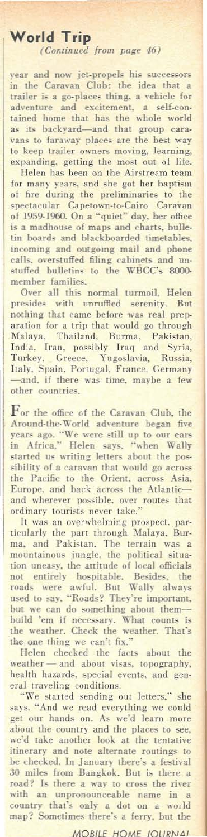## **World Trip**

(Continued from page 46)

year and now jet-propels his successors in the Caravan Club: the idea that a trailer is a go-places thing, a vehicle for adventure and excitement, a self-conauventure and excrement, a sen-con-<br>as its backyard—and that group cara-<br>vans to faraway places are the best way<br>to keep trailer owners moving, learning,<br>expanding, getting the most out of life.

expanding, getting the most out of the<br>Helen has been on the Airstream team<br>for many years, and she got her baptism<br>of fire during the preliminaries to the<br>spectacular Capetown-to-Cairo Caravan<br>of 1959-1960. On a "quiet" d tin boards and blackboarded timetables. incoming and outgoing mail and phone calls, overstuffed filing cabinets and unstuffed bulletins to the **WBCC's 8000**member families.

Over all this normal turmoil, Helen<br>presides with unruffled serenity. But presides with unruffied serently. Due nothing that came before was real preparation for a trip that would go through Malaya, Thailand, Burma, Pakistan, India. Iran, possibly Iraq and Syria, Turkey. Greece, Yugoslavia, Russ Italy, Spain, Portugal, France, Germany -and, if there was time, maybe a few other countries.

 $\begin{tabular}{l} For the office of the Caravan Club, the Around-dhe-Wordd adventure began five years ago. ``We were still up to our ears in Africa," Helen says, "when Wally started us writing letters about the pos- \end{tabular}$ sibility of a caravan that would go across<br>the Pacific to the Orient, across Asia, Europe, and back across the Atlantic and wherever possible, over routes that<br>ordinary tourists never take."

It was an overwhelming prospect, particularly the part through Malaya, Burticularly the part through Malaya, Burtina, and Pakistan. The terrain was a mountainous jungle, the political situamountainous jungle, the political situa-<br>tion uneasy, the attitude of local officials<br>not entirely hospitable. Besides, the<br>roads were awful. But Wally always<br>used to say, "Roads? They're important,<br>but we can do something the one thing we can't fix."<br>Helen checked the facts about

the weather - and about visas, topography,<br>health hazards, special events, and general traveling conditions.<br>"We started sending out letters," she

we started senang our returns, sues<br>get our hands on. As we'd learn more<br>get our hands on. As we'd learn more<br>about the country and the places to see,<br>we'd take another look at the tentative itinerary and note alternate routings to be checked. In January there's a festival 30 miles from Bangkok. But is there a road? Is there a way to cross the river<br>with an unpronounceable name in a<br>country that's only a dot on a world map? Sometimes there's a ferry, but the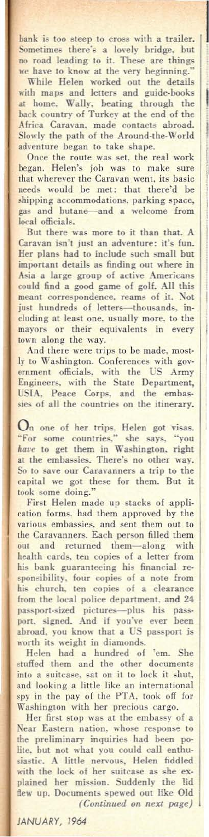bank is too steep to cross with a trailer. Sometimes there's a lovely bridge. but<br>no road leading to it. These are things<br>whe to know at the very beginning."<br>While Helen worked out the details<br>with maps and letters and guide-books

at home. Wally, beating through the back country of Turkey at the end of the Africa Caravan, made contacts abroad.<br>Slowly the path of the Around-the-World adventure began to take shape.

Once the route was set, the real work<br>began. Helen's joh was to make sure<br>that wherever the Caravan went, its basic<br>needs would be met: that there'd be shipping accommodations, parking space, gas and butane-and a welcome local officials.

But there was more to it than that. A Caravan isn't just an adventure: it's fun. Her plans had to include such small but important details as finding out where in Asia a large group of active Americans could find a good game of golf. All this<br>meant correspondence, reams of it. Not<br>just hundreds of letters—thousands, including at least one, usually more, to the mayors or their equivalents in every town along lhe way.

And there were trips to be made. mostly to Washington. Conferences with gov-<br>ernment officials, with the US Army<br>Engineers, with the State Department, USIA, Peace Corps, and the embas-<br>sies of all the countries on the itinerary.

On one of her trips. Helen got visas.<br>"For some countries," she says, "you<br>*have* to get them in Washington, right at the embassies. There's no other way. So to save our Caravanners a trip to the capital we got these for them. But it took some doing.

First Helen made up stacks of application forms. had them approved by the<br>various embassies. and sent them out to<br>the Caravanners. Each person filled them<br> out and returned them-along with health cards, ten copies of a letter from<br>his bank guaranteeing his financial responsibility, four copies of a note from<br>his church, ten copies of a clearance from the local police department, and 24 passport-sized pictures—plus his pass-<br>port. signed. And if you've ever been abroad, you know that a US passport is

worth its weight in diamonds.<br>
Helen had a hundred of 'em. She<br>
stuffed them and the other documents<br>
into a suitcase, sat on it to lock it shut,<br>
and looking a little like an international spy in the pay of the PTA, took off for Washington with her precious cargo.

Her first stop was at the embassy of a Near Eastern nation, whose response to the preliminary inquiries had been polite. but not what you could call enthusiastic. A little nervous, Helen fiddled with the lock of her suitcase as she ex-<br>plained her mission. Suddenly the lid<br>flew up. Documents spewed out like Old *(Continued Oil next page)*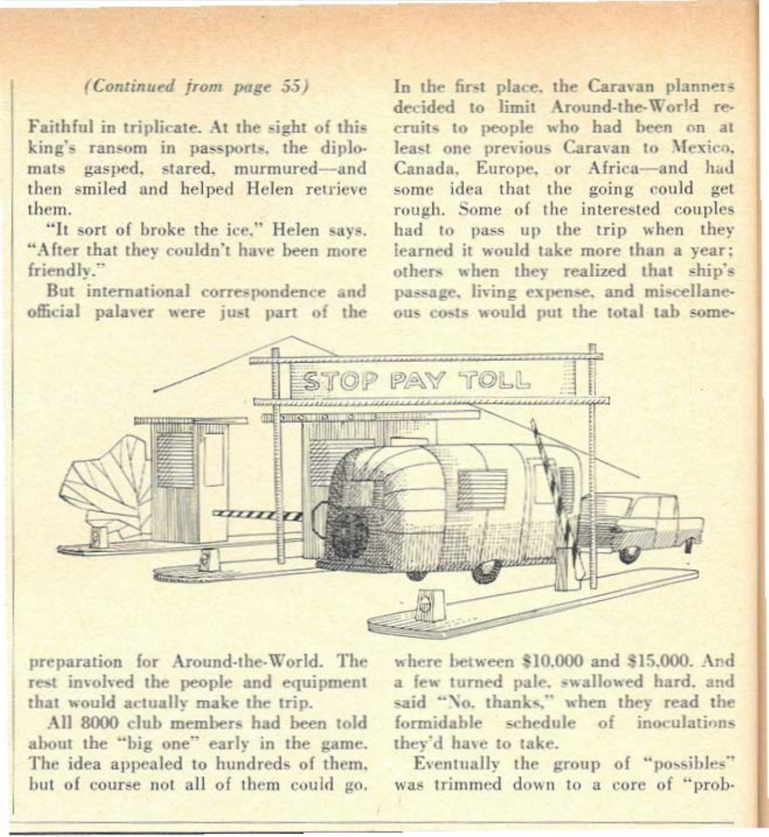## (Continued from page 55)

Faithful in triplicate. At the sight of this king's ransom in passports, the diplomats gasped, stared, murmured-and then smiled and helped Helen retrieve them.

"It sort of broke the ice." Helen says. "After that they couldn't have been more friendly."

But international correspondence and official palayer were just part of the

In the first place, the Caravan planners decided to limit Around-the-World recruits to people who had been on at least one previous Caravan to Mexico. Canada, Europe, or Africa-and had some idea that the going could get rough. Some of the interested couples had to pass up the trip when they learned it would take more than a year: others when they realized that ship's passage, living expense, and miscellaneous costs would put the total tab some-



preparation for Around-the-World. The rest involved the people and equipment that would actually make the trip.

All 8000 club members had been told about the "big one" early in the game. The idea appealed to hundreds of them. but of course not all of them could go. where between \$10,000 and \$15,000. And a few turned pale, swallowed hard, and said "No, thanks," when they read the formidable schedule of inoculations they'd have to take.

Eventually the group of "possibles" was trimmed down to a core of "prob-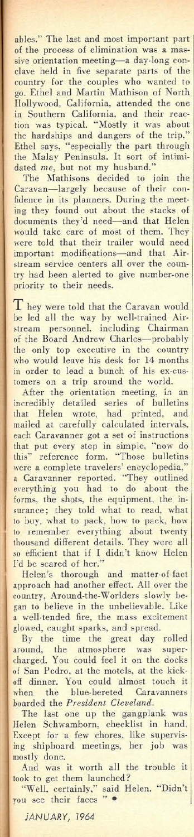ables." The last and most important part<br>of the process of elimination was a massive orientation meeting-a day-long con-clave held in five separate parts of the country for the couples who wanted to go. Ethel and Martin Mathison of North Hollywood. California, attended the one in Southern California, and their reaction was typical. "Mostly it was about the hardships and dangers of the trip." Ethel says, "especially the part through<br>the Malay Peninsula. It sort of intimi-

dated *me*, but not my husband."<br>The Mathisons decided to join the<br>Caravan-largely because of their con-<br>fidence in its planners. During the meeting they found out about the stacks of documents they'd need-and that Helen would take care of most of them. They were told that their trailer would need important modifications-and that Airstream service centers all over the country had been alerted to give numher-one priority to their needs.

They were told that the Caravan would be led all the way by well-trained Air-stream personneL including Chairman of the Board Andrew Charles-probably the only top executive in the country who would leave his desk for 14 months in order to lead a bunch of his ex·cus· tomers on a trip around the world.

After the orientation meeting, in an incredibly detailed series of bulletins that Helen wrote, had printed, and<br>mailed at carefully calculated intervals,<br>that put every step in simple, "now do<br>this" reference form. "Those bulletins were a complete travelers' encyclopedia,"<br>a Caravanner reported, "They outlined everything you had to do about the<br>forms, the shots, the equipment, the insurance; *they* told what to read, what to buy, what to pack, how to pack. how to remember everything about twenty thousand different details. They were all so efficient that if r didn't know Helen I'd he scared of her."

Helen's thorough and matter-of-fact<br>approach had another effect. All over the<br>country, Around-the-Worlders slowly began to believe in the unbelievable. Like a well·tended fire, the mass excitement glowed, caught sparks, and spread.

By the time the great day rolled<br>around, the atmosphere was super-<br>charged. You could feel it on the docks of San Pedro. at the motels, at the kick-off dinner. You could almost louch it when the hlue·bereted Caravanners I boarded the *President Cleveland.*

The last one up the gangplank was<br>Helen Schwamborn, checklist in hand.<br>Except for a few chores, like supervis-<br>ing shipboard meetings, her job was

mostly done. And was it worth all the trouble it took to get them launched?

"Well, certainly," said Helen. "Didn't<br>you see their faces "

JANUARY, J964